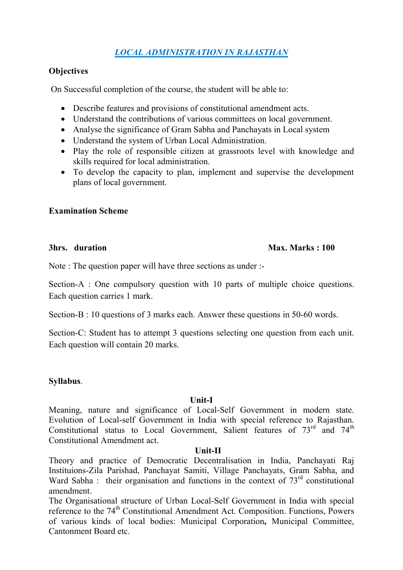# *LOCAL ADMINISTRATION IN RAJASTHAN*

# **Objectives**

On Successful completion of the course, the student will be able to:

- Describe features and provisions of constitutional amendment acts.
- Understand the contributions of various committees on local government.
- Analyse the significance of Gram Sabha and Panchayats in Local system
- Understand the system of Urban Local Administration.
- Play the role of responsible citizen at grassroots level with knowledge and skills required for local administration.
- To develop the capacity to plan, implement and supervise the development plans of local government.

# **Examination Scheme**

# **3hrs. duration Max. Marks : 100**

Note : The question paper will have three sections as under :-

Section-A : One compulsory question with 10 parts of multiple choice questions. Each question carries 1 mark.

Section-B : 10 questions of 3 marks each. Answer these questions in 50-60 words.

Section-C: Student has to attempt 3 questions selecting one question from each unit. Each question will contain 20 marks.

# **Syllabus**.

#### **Unit-I**

Meaning, nature and significance of Local-Self Government in modern state. Evolution of Local-self Government in India with special reference to Rajasthan. Constitutional status to Local Government, Salient features of  $73<sup>rd</sup>$  and  $74<sup>th</sup>$ Constitutional Amendment act.

#### **Unit-II**

Theory and practice of Democratic Decentralisation in India, Panchayati Raj Instituions-Zila Parishad, Panchayat Samiti, Village Panchayats, Gram Sabha, and Ward Sabha : their organisation and functions in the context of 73<sup>rd</sup> constitutional amendment.

The Organisational structure of Urban Local-Self Government in India with special reference to the 74<sup>th</sup> Constitutional Amendment Act. Composition. Functions, Powers of various kinds of local bodies: Municipal Corporation**,** Municipal Committee, Cantonment Board etc.